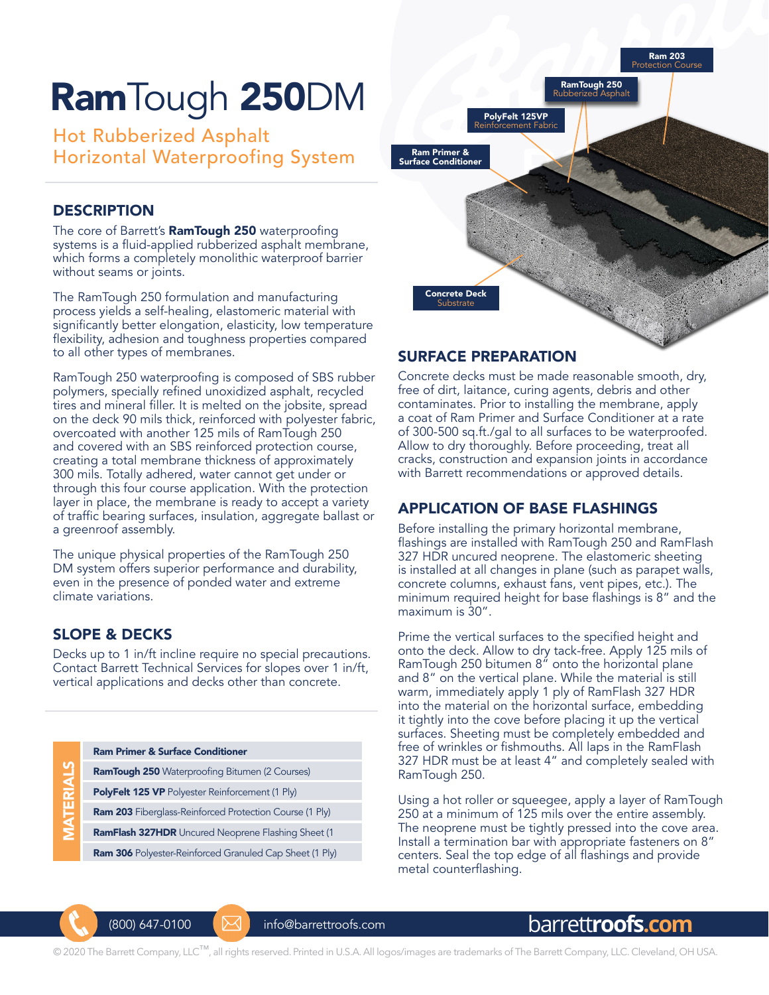# RamTough 250DM

Hot Rubberized Asphalt Horizontal Waterproofing System



Concrete decks must be made reasonable smooth, dry, free of dirt, laitance, curing agents, debris and other contaminates. Prior to installing the membrane, apply a coat of Ram Primer and Surface Conditioner at a rate of 300-500 sq.ft./gal to all surfaces to be waterproofed. Allow to dry thoroughly. Before proceeding, treat all cracks, construction and expansion joints in accordance with Barrett recommendations or approved details.

APPLICATION OF BASE FLASHINGS Before installing the primary horizontal membrane, flashings are installed with RamTough 250 and RamFlash 327 HDR uncured neoprene. The elastomeric sheeting is installed at all changes in plane (such as parapet walls, concrete columns, exhaust fans, vent pipes, etc.). The minimum required height for base flashings is 8" and the

maximum is 30".

### **DESCRIPTION**

The core of Barrett's **RamTough 250** waterproofing systems is a fluid-applied rubberized asphalt membrane, which forms a completely monolithic waterproof barrier without seams or joints.

The RamTough 250 formulation and manufacturing process yields a self-healing, elastomeric material with significantly better elongation, elasticity, low temperature flexibility, adhesion and toughness properties compared to all other types of membranes.

RamTough 250 waterproofing is composed of SBS rubber polymers, specially refined unoxidized asphalt, recycled tires and mineral filler. It is melted on the jobsite, spread on the deck 90 mils thick, reinforced with polyester fabric, overcoated with another 125 mils of RamTough 250 and covered with an SBS reinforced protection course, creating a total membrane thickness of approximately 300 mils. Totally adhered, water cannot get under or through this four course application. With the protection layer in place, the membrane is ready to accept a variety of traffic bearing surfaces, insulation, aggregate ballast or a greenroof assembly.

The unique physical properties of the RamTough 250 DM system offers superior performance and durability, even in the presence of ponded water and extreme climate variations.

# SLOPE & DECKS

Decks up to 1 in/ft incline require no special precautions. Contact Barrett Technical Services for slopes over 1 in/ft, vertical applications and decks other than concrete.

| <b>MATERIALS</b> | <b>Ram Primer &amp; Surface Conditioner</b>                    |
|------------------|----------------------------------------------------------------|
|                  | <b>RamTough 250</b> Waterproofing Bitumen (2 Courses)          |
|                  | <b>PolyFelt 125 VP</b> Polyester Reinforcement (1 Ply)         |
|                  | <b>Ram 203</b> Fiberglass-Reinforced Protection Course (1 Ply) |
|                  | <b>RamFlash 327HDR</b> Uncured Neoprene Flashing Sheet (1      |
|                  | <b>Ram 306</b> Polyester-Reinforced Granuled Cap Sheet (1 Ply) |

into the material on the horizontal surface, embedding it tightly into the cove before placing it up the vertical surfaces. Sheeting must be completely embedded and free of wrinkles or fishmouths. All laps in the RamFlash 327 HDR must be at least 4" and completely sealed with RamTough 250. Using a hot roller or squeegee, apply a layer of RamTough

Prime the vertical surfaces to the specified height and onto the deck. Allow to dry tack-free. Apply 125 mils of RamTough 250 bitumen 8" onto the horizontal plane and 8" on the vertical plane. While the material is still warm, immediately apply 1 ply of RamFlash 327 HDR

250 at a minimum of 125 mils over the entire assembly. The neoprene must be tightly pressed into the cove area. Install a termination bar with appropriate fasteners on 8" centers. Seal the top edge of all flashings and provide metal counterflashing.

(800) 647-0100 info@barrettroofs.com

# barrett**roofs.com**

© 2020 The Barrett Company, LLC™, all rights reserved. Printed in U.S.A. All logos/images are trademarks of The Barrett Company, LLC. Cleveland, OH USA.